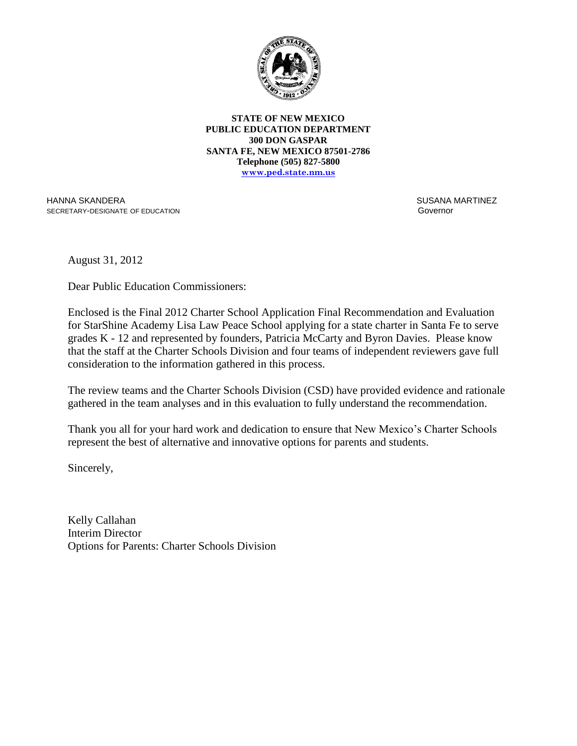

**STATE OF NEW MEXICO PUBLIC EDUCATION DEPARTMENT 300 DON GASPAR SANTA FE, NEW MEXICO 87501-2786 Telephone (505) 827-5800 www.ped.state.nm.us**

HANNA SKANDERA SECRETARY-DESIGNATE OF EDUCATION  SUSANA MARTINEZ Governor

August 31, 2012

Dear Public Education Commissioners:

Enclosed is the Final 2012 Charter School Application Final Recommendation and Evaluation for StarShine Academy Lisa Law Peace School applying for a state charter in Santa Fe to serve grades K - 12 and represented by founders, Patricia McCarty and Byron Davies. Please know that the staff at the Charter Schools Division and four teams of independent reviewers gave full consideration to the information gathered in this process.

The review teams and the Charter Schools Division (CSD) have provided evidence and rationale gathered in the team analyses and in this evaluation to fully understand the recommendation.

Thank you all for your hard work and dedication to ensure that New Mexico's Charter Schools represent the best of alternative and innovative options for parents and students.

Sincerely,

Kelly Callahan Interim Director Options for Parents: Charter Schools Division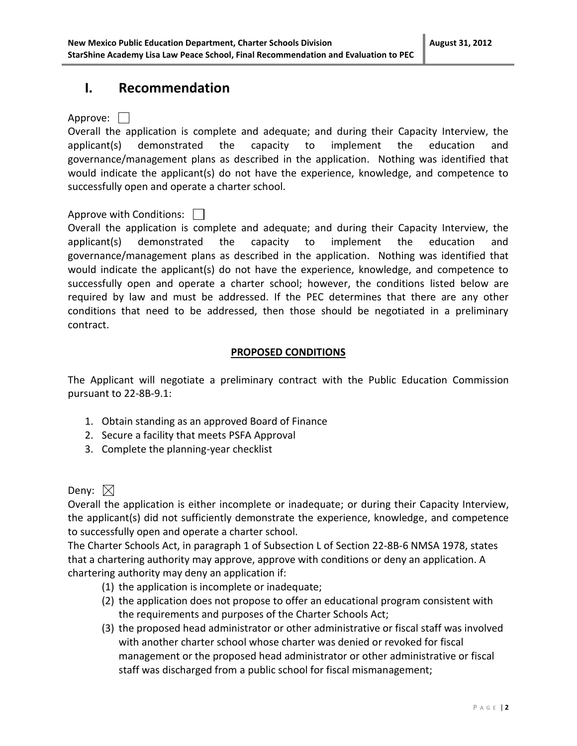## **I. Recommendation**

Approve: | |

Overall the application is complete and adequate; and during their Capacity Interview, the applicant(s) demonstrated the capacity to implement the education and governance/management plans as described in the application. Nothing was identified that would indicate the applicant(s) do not have the experience, knowledge, and competence to successfully open and operate a charter school.

### Approve with Conditions:  $\Box$

Overall the application is complete and adequate; and during their Capacity Interview, the applicant(s) demonstrated the capacity to implement the education and governance/management plans as described in the application. Nothing was identified that would indicate the applicant(s) do not have the experience, knowledge, and competence to successfully open and operate a charter school; however, the conditions listed below are required by law and must be addressed. If the PEC determines that there are any other conditions that need to be addressed, then those should be negotiated in a preliminary contract.

### **PROPOSED CONDITIONS**

The Applicant will negotiate a preliminary contract with the Public Education Commission pursuant to 22-8B-9.1:

- 1. Obtain standing as an approved Board of Finance
- 2. Secure a facility that meets PSFA Approval
- 3. Complete the planning-year checklist

## Deny:  $\boxtimes$

Overall the application is either incomplete or inadequate; or during their Capacity Interview, the applicant(s) did not sufficiently demonstrate the experience, knowledge, and competence to successfully open and operate a charter school.

The Charter Schools Act, in paragraph 1 of Subsection L of Section 22-8B-6 NMSA 1978, states that a chartering authority may approve, approve with conditions or deny an application. A chartering authority may deny an application if:

- (1) the application is incomplete or inadequate;
- (2) the application does not propose to offer an educational program consistent with the requirements and purposes of the Charter Schools Act;
- (3) the proposed head administrator or other administrative or fiscal staff was involved with another charter school whose charter was denied or revoked for fiscal management or the proposed head administrator or other administrative or fiscal staff was discharged from a public school for fiscal mismanagement;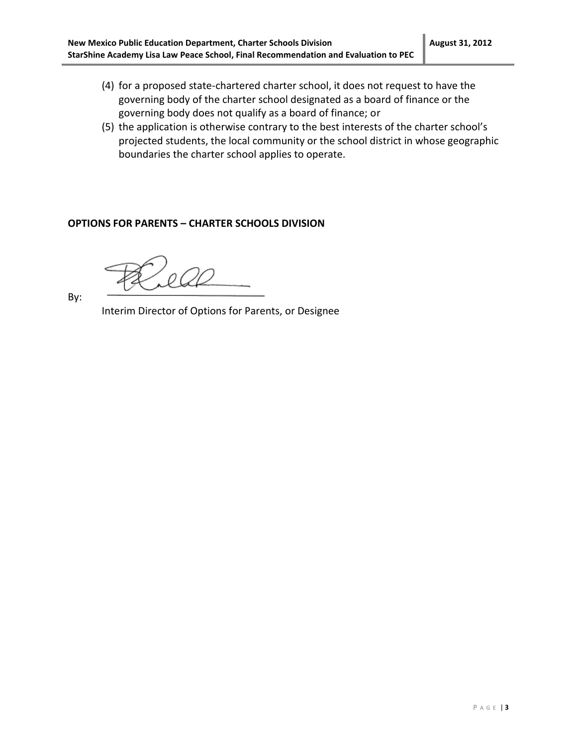- (4) for a proposed state-chartered charter school, it does not request to have the governing body of the charter school designated as a board of finance or the governing body does not qualify as a board of finance; or
- (5) the application is otherwise contrary to the best interests of the charter school's projected students, the local community or the school district in whose geographic boundaries the charter school applies to operate.

### **OPTIONS FOR PARENTS – CHARTER SCHOOLS DIVISION**

By:

Interim Director of Options for Parents, or Designee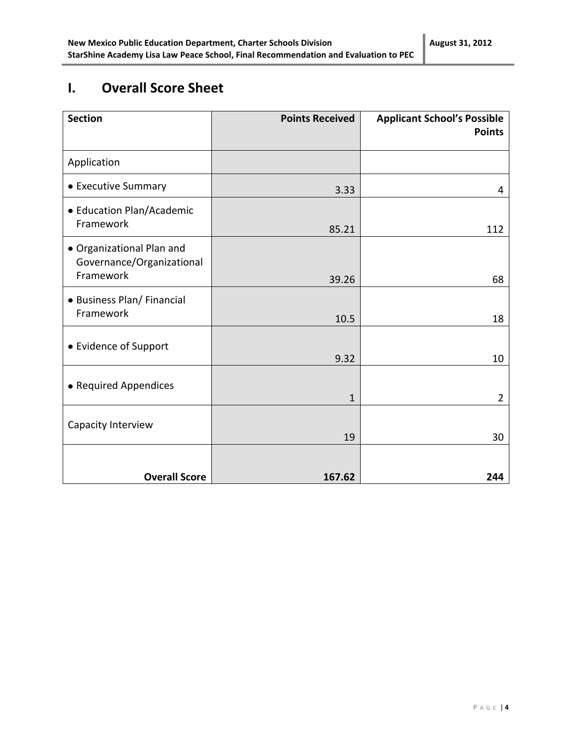# **I. Overall Score Sheet**

| <b>Section</b>                                                      | <b>Points Received</b> | <b>Applicant School's Possible</b><br><b>Points</b> |
|---------------------------------------------------------------------|------------------------|-----------------------------------------------------|
| Application                                                         |                        |                                                     |
| • Executive Summary                                                 | 3.33                   | 4                                                   |
| • Education Plan/Academic<br>Framework                              | 85.21                  | 112                                                 |
| · Organizational Plan and<br>Governance/Organizational<br>Framework | 39.26                  | 68                                                  |
| • Business Plan/ Financial<br>Framework                             | 10.5                   | 18                                                  |
| • Evidence of Support                                               | 9.32                   | 10                                                  |
| • Required Appendices                                               | $\mathbf{1}$           | $\overline{2}$                                      |
| Capacity Interview                                                  | 19                     | 30                                                  |
| <b>Overall Score</b>                                                | 167.62                 | 244                                                 |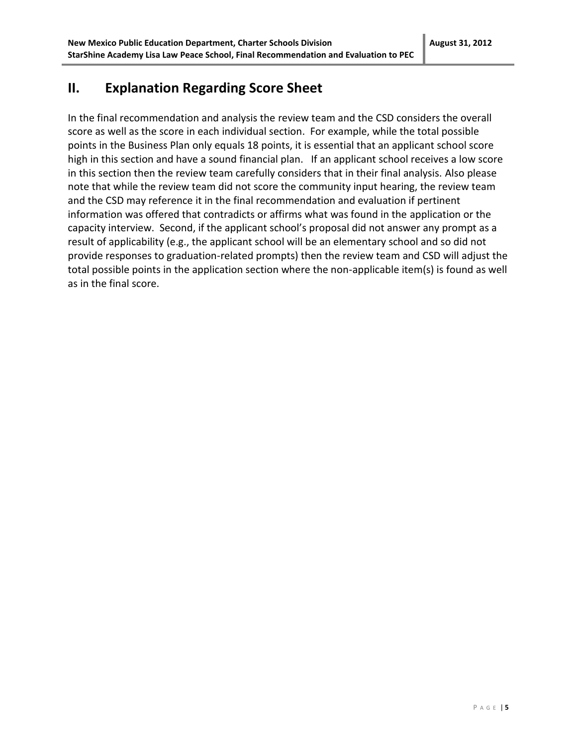## **II. Explanation Regarding Score Sheet**

In the final recommendation and analysis the review team and the CSD considers the overall score as well as the score in each individual section. For example, while the total possible points in the Business Plan only equals 18 points, it is essential that an applicant school score high in this section and have a sound financial plan. If an applicant school receives a low score in this section then the review team carefully considers that in their final analysis. Also please note that while the review team did not score the community input hearing, the review team and the CSD may reference it in the final recommendation and evaluation if pertinent information was offered that contradicts or affirms what was found in the application or the capacity interview. Second, if the applicant school's proposal did not answer any prompt as a result of applicability (e.g., the applicant school will be an elementary school and so did not provide responses to graduation-related prompts) then the review team and CSD will adjust the total possible points in the application section where the non-applicable item(s) is found as well as in the final score.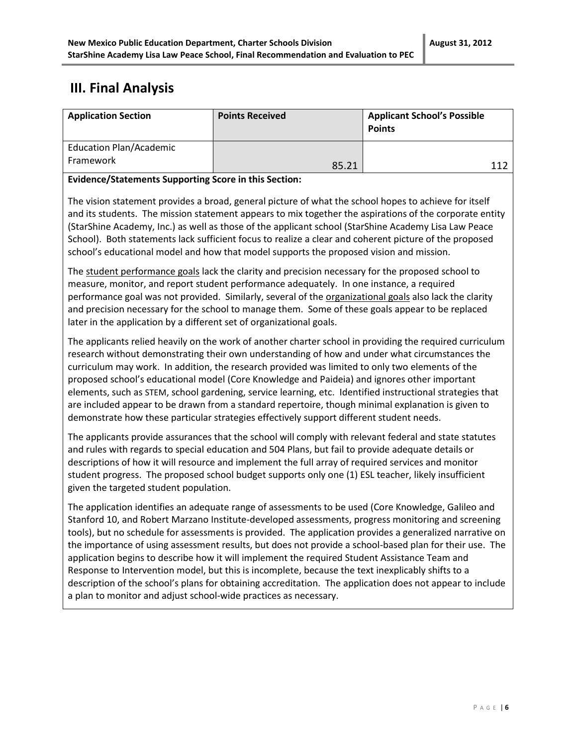# **III. Final Analysis**

| <b>Application Section</b>                                                                                                                                                                                                                                                                                                                                                                                                                                                                                                                                                                                                                                                                                                                          | <b>Points Received</b> | <b>Applicant School's Possible</b><br><b>Points</b> |
|-----------------------------------------------------------------------------------------------------------------------------------------------------------------------------------------------------------------------------------------------------------------------------------------------------------------------------------------------------------------------------------------------------------------------------------------------------------------------------------------------------------------------------------------------------------------------------------------------------------------------------------------------------------------------------------------------------------------------------------------------------|------------------------|-----------------------------------------------------|
| <b>Education Plan/Academic</b><br>Framework                                                                                                                                                                                                                                                                                                                                                                                                                                                                                                                                                                                                                                                                                                         | 85.21                  | 112                                                 |
| <b>Evidence/Statements Supporting Score in this Section:</b>                                                                                                                                                                                                                                                                                                                                                                                                                                                                                                                                                                                                                                                                                        |                        |                                                     |
| The vision statement provides a broad, general picture of what the school hopes to achieve for itself<br>and its students. The mission statement appears to mix together the aspirations of the corporate entity<br>(StarShine Academy, Inc.) as well as those of the applicant school (StarShine Academy Lisa Law Peace<br>School). Both statements lack sufficient focus to realize a clear and coherent picture of the proposed<br>school's educational model and how that model supports the proposed vision and mission.                                                                                                                                                                                                                       |                        |                                                     |
| The student performance goals lack the clarity and precision necessary for the proposed school to<br>measure, monitor, and report student performance adequately. In one instance, a required<br>performance goal was not provided. Similarly, several of the organizational goals also lack the clarity<br>and precision necessary for the school to manage them. Some of these goals appear to be replaced<br>later in the application by a different set of organizational goals.                                                                                                                                                                                                                                                                |                        |                                                     |
| The applicants relied heavily on the work of another charter school in providing the required curriculum<br>research without demonstrating their own understanding of how and under what circumstances the<br>curriculum may work. In addition, the research provided was limited to only two elements of the<br>proposed school's educational model (Core Knowledge and Paideia) and ignores other important<br>elements, such as STEM, school gardening, service learning, etc. Identified instructional strategies that<br>are included appear to be drawn from a standard repertoire, though minimal explanation is given to<br>demonstrate how these particular strategies effectively support different student needs.                        |                        |                                                     |
| The applicants provide assurances that the school will comply with relevant federal and state statutes<br>and rules with regards to special education and 504 Plans, but fail to provide adequate details or<br>descriptions of how it will resource and implement the full array of required services and monitor<br>student progress. The proposed school budget supports only one (1) ESL teacher, likely insufficient<br>given the targeted student population.                                                                                                                                                                                                                                                                                 |                        |                                                     |
| The application identifies an adequate range of assessments to be used (Core Knowledge, Galileo and<br>Stanford 10, and Robert Marzano Institute-developed assessments, progress monitoring and screening<br>tools), but no schedule for assessments is provided. The application provides a generalized narrative on<br>the importance of using assessment results, but does not provide a school-based plan for their use. The<br>application begins to describe how it will implement the required Student Assistance Team and<br>Response to Intervention model, but this is incomplete, because the text inexplicably shifts to a<br>description of the school's plans for obtaining accreditation. The application does not appear to include |                        |                                                     |

a plan to monitor and adjust school-wide practices as necessary.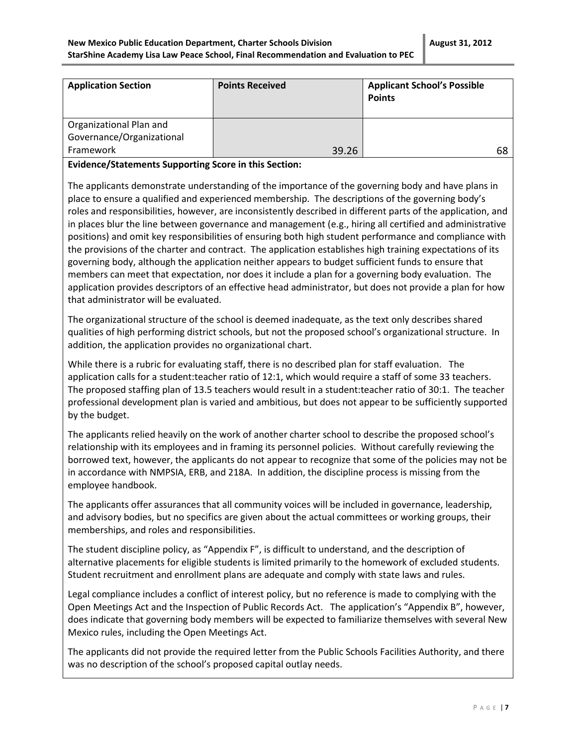| <b>Application Section</b> | <b>Points Received</b> | <b>Applicant School's Possible</b><br><b>Points</b> |
|----------------------------|------------------------|-----------------------------------------------------|
| Organizational Plan and    |                        |                                                     |
| Governance/Organizational  |                        |                                                     |
| Framework                  | 39.26                  | 68                                                  |

### **Evidence/Statements Supporting Score in this Section:**

The applicants demonstrate understanding of the importance of the governing body and have plans in place to ensure a qualified and experienced membership. The descriptions of the governing body's roles and responsibilities, however, are inconsistently described in different parts of the application, and in places blur the line between governance and management (e.g., hiring all certified and administrative positions) and omit key responsibilities of ensuring both high student performance and compliance with the provisions of the charter and contract. The application establishes high training expectations of its governing body, although the application neither appears to budget sufficient funds to ensure that members can meet that expectation, nor does it include a plan for a governing body evaluation. The application provides descriptors of an effective head administrator, but does not provide a plan for how that administrator will be evaluated.

The organizational structure of the school is deemed inadequate, as the text only describes shared qualities of high performing district schools, but not the proposed school's organizational structure. In addition, the application provides no organizational chart.

While there is a rubric for evaluating staff, there is no described plan for staff evaluation. The application calls for a student:teacher ratio of 12:1, which would require a staff of some 33 teachers. The proposed staffing plan of 13.5 teachers would result in a student:teacher ratio of 30:1. The teacher professional development plan is varied and ambitious, but does not appear to be sufficiently supported by the budget.

The applicants relied heavily on the work of another charter school to describe the proposed school's relationship with its employees and in framing its personnel policies. Without carefully reviewing the borrowed text, however, the applicants do not appear to recognize that some of the policies may not be in accordance with NMPSIA, ERB, and 218A. In addition, the discipline process is missing from the employee handbook.

The applicants offer assurances that all community voices will be included in governance, leadership, and advisory bodies, but no specifics are given about the actual committees or working groups, their memberships, and roles and responsibilities.

The student discipline policy, as "Appendix F", is difficult to understand, and the description of alternative placements for eligible students is limited primarily to the homework of excluded students. Student recruitment and enrollment plans are adequate and comply with state laws and rules.

Legal compliance includes a conflict of interest policy, but no reference is made to complying with the Open Meetings Act and the Inspection of Public Records Act. The application's "Appendix B", however, does indicate that governing body members will be expected to familiarize themselves with several New Mexico rules, including the Open Meetings Act.

The applicants did not provide the required letter from the Public Schools Facilities Authority, and there was no description of the school's proposed capital outlay needs.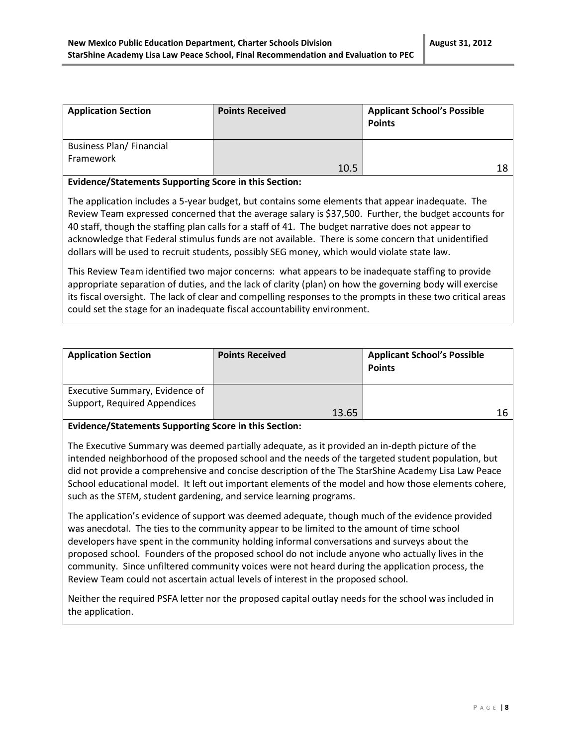| <b>Application Section</b>      | <b>Points Received</b> | <b>Applicant School's Possible</b><br><b>Points</b> |
|---------------------------------|------------------------|-----------------------------------------------------|
| <b>Business Plan/ Financial</b> |                        |                                                     |
| Framework                       | 10.5                   |                                                     |

#### **Evidence/Statements Supporting Score in this Section:**

The application includes a 5-year budget, but contains some elements that appear inadequate. The Review Team expressed concerned that the average salary is \$37,500. Further, the budget accounts for 40 staff, though the staffing plan calls for a staff of 41. The budget narrative does not appear to acknowledge that Federal stimulus funds are not available. There is some concern that unidentified dollars will be used to recruit students, possibly SEG money, which would violate state law.

This Review Team identified two major concerns: what appears to be inadequate staffing to provide appropriate separation of duties, and the lack of clarity (plan) on how the governing body will exercise its fiscal oversight. The lack of clear and compelling responses to the prompts in these two critical areas could set the stage for an inadequate fiscal accountability environment.

| <b>Application Section</b>                                     | <b>Points Received</b> | <b>Applicant School's Possible</b><br><b>Points</b> |
|----------------------------------------------------------------|------------------------|-----------------------------------------------------|
| Executive Summary, Evidence of<br>Support, Required Appendices | 13.65                  |                                                     |

### **Evidence/Statements Supporting Score in this Section:**

The Executive Summary was deemed partially adequate, as it provided an in-depth picture of the intended neighborhood of the proposed school and the needs of the targeted student population, but did not provide a comprehensive and concise description of the The StarShine Academy Lisa Law Peace School educational model. It left out important elements of the model and how those elements cohere, such as the STEM, student gardening, and service learning programs.

The application's evidence of support was deemed adequate, though much of the evidence provided was anecdotal. The ties to the community appear to be limited to the amount of time school developers have spent in the community holding informal conversations and surveys about the proposed school. Founders of the proposed school do not include anyone who actually lives in the community. Since unfiltered community voices were not heard during the application process, the Review Team could not ascertain actual levels of interest in the proposed school.

Neither the required PSFA letter nor the proposed capital outlay needs for the school was included in the application.